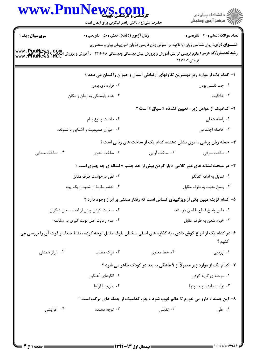| www.Pnu                                                                         | <b>WE و CULL</b><br>کارشناسی و کارشناسی ناپیوسته<br>حضرت علی(ع): دانش راهبر نیکویی برای ایمان است            |                                                                                                                   | ≦ دانشڪاه پيام نور<br>7 مرڪز آزمون وسنڊش |  |  |
|---------------------------------------------------------------------------------|--------------------------------------------------------------------------------------------------------------|-------------------------------------------------------------------------------------------------------------------|------------------------------------------|--|--|
| <b>سری سوال :</b> یک ۱                                                          | زمان آزمون (دقیقه) : تستی : 50 قشریحی : 0                                                                    |                                                                                                                   | تعداد سوالات : تستى : 30 - تشريحي : 0    |  |  |
| www.PnuNaws, com<br>www. PnuNews. Het                                           | <b>رشته تحصیلی/کد درس:</b> علوم تربیتی گرایش آموزش و پرورش پیش دبستانی ودبستانی ۱۲۱۱۰۶۸ - ، آموزش و پرورش    | <b>عنـــوان درس:</b> روان شناسی زبان (با تاکید بر آموزش زبان فارسی )،زبان آموزی،فن بیان و سخنوری<br>تربیتی۱۲۱۱۴۰۴ |                                          |  |  |
| ا– کدام یک از موارد زیر مهمترین تفاوتهای ارتباطی انسان و حیوان را نشان می دهد ؟ |                                                                                                              |                                                                                                                   |                                          |  |  |
|                                                                                 | ۰۲ قراردادی بودن                                                                                             |                                                                                                                   | ۰۱ چند نقشی بودن                         |  |  |
|                                                                                 | ۰۴ عدم وابستگی به زمان و مکان                                                                                |                                                                                                                   | ۰۳ خلاقیت                                |  |  |
| ۲- کدامیک از عوامل زیر ، تعیین کندده « سیاق » است ؟                             |                                                                                                              |                                                                                                                   |                                          |  |  |
|                                                                                 | ۰۲ ماهيت و نوع پيام                                                                                          |                                                                                                                   | ۰۱ رابطه شغلی                            |  |  |
|                                                                                 | ۰۴ میزان صمیمیت و آشنایی با شنونده                                                                           |                                                                                                                   | ۰۳ فاصله اجتماعی                         |  |  |
|                                                                                 |                                                                                                              | ۳- جمله زبان پرشی ، امری نشان دهنده کدام یک از ساخت های زبانی است ؟                                               |                                          |  |  |
| ۰۴ ساخت معنایی                                                                  | ۰۳ ساخت نحوی                                                                                                 | ۰۲ ساخت آوایی                                                                                                     | ۰۱ ساخت صرفی                             |  |  |
|                                                                                 | <b>4</b> - در مبحث نشانه های غیر کلامی « باز کردن بیش از حد چشم » نشانه ی چه چیزی است ؟                      |                                                                                                                   |                                          |  |  |
|                                                                                 | ۰۲ نفی درخواست طرف مقابل                                                                                     |                                                                                                                   | ۰۱ تمایل به ادامه گفتگو                  |  |  |
| ۰۴ خشم مفرط از شنیدن یک پیام                                                    |                                                                                                              |                                                                                                                   | ۰۳ پاسخ مثبت به طرف مقابل                |  |  |
|                                                                                 |                                                                                                              | ۵– کدام گزینه مبین یکی از ویژگیهای کسانی است که رفتار مبتنی بر ابراز وجود دارد ؟                                  |                                          |  |  |
| ۰۲ صحبت کردن پیش از اتمام سخن دیگران                                            |                                                                                                              | ٠١ دادن پاسخ قاطع با لحن دوستانه                                                                                  |                                          |  |  |
| ۰۴ عدم رعايت اصل نوبت گيري در مكالمه                                            |                                                                                                              | ۰۳ خیره شدن به طرف مقابل                                                                                          |                                          |  |  |
|                                                                                 | ۶–در کدام یک از انواع گوش دادن ، به گذاره های اصلی سخنان طرف مقابل توجه کرده ، نقاط ضعف و قوت آن را بررسی می |                                                                                                                   | كنيم ؟                                   |  |  |
| ۰۴ ابراز همدلی                                                                  | ۰۳ درک مطلب                                                                                                  | ۰۲ خط معنوی                                                                                                       | ٠١. ارزيابي                              |  |  |
|                                                                                 |                                                                                                              | ۷– کدام یک از موارد زیر معمولاً از ۹ ماهگی به بعد در کودک ظاهر می شود ؟                                           |                                          |  |  |
|                                                                                 | ٢. الگوهای آهنگین                                                                                            |                                                                                                                   | ۰۱ مرحله ی گریه کردن                     |  |  |
|                                                                                 | ۰۴ بازي با أواها                                                                                             |                                                                                                                   | ۰۳ تولید صامتها و مصوتها                 |  |  |
|                                                                                 | ۸- این جمله « دارو می خورم تا حالم خوب شود » جزء کدامیک از جمله های مرکب است ؟                               |                                                                                                                   |                                          |  |  |
| ۰۴ افزایشی                                                                      | ۰۳ توجه دهنده                                                                                                | ۰۲ تقابلی                                                                                                         | ۰۱ علّی                                  |  |  |
|                                                                                 |                                                                                                              | $=$ (Wave aword in the state $=$                                                                                  | 1.1.11.1119779                           |  |  |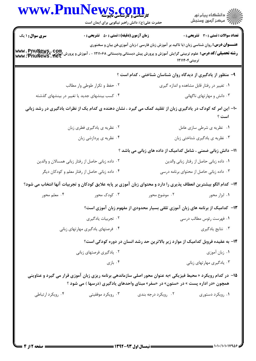|                                               | www.Pnu<br><b>WS COM</b><br>حضرت علی(ع): دانش راهبر نیکویی برای ایمان است |                                                                                                                                                                                                                | الاد دانشگاه پيام نور<br>الاستمر آزمون وسنجش |  |
|-----------------------------------------------|---------------------------------------------------------------------------|----------------------------------------------------------------------------------------------------------------------------------------------------------------------------------------------------------------|----------------------------------------------|--|
| <b>سری سوال : ۱ یک</b>                        | <b>زمان آزمون (دقیقه) : تستی : 80 ٪ تشریحی : 0</b>                        |                                                                                                                                                                                                                | تعداد سوالات : تستى : 30 - تشريحي : 0        |  |
| www.PnuNews.com<br>www.PnuNews.net            |                                                                           | <b>عنــــوان درس:</b> روان شناسی زبان (با تاکید بر آموزش زبان فارسی )،زبان آموزی،فن بیان و سخنوری<br><b>رشته تحصیلی/کد درس:</b> علوم تربیتی گرایش آموزش و پرورش پیش دبستانی ودبستانی ۱۲۱۱۰۶۸ - ، آموزش و پرورش | تربیتی1۲۱۱۴۰۴                                |  |
|                                               |                                                                           | ۹- منظور از یادگیری از دیدگاه روان شناسان شناختی ، کدام است ؟                                                                                                                                                  |                                              |  |
|                                               | ۰۲ حفظ و تکرار طوطی وار مطالب                                             | ۰۱ تغییر در رفتار قابل مشاهده و اندازه گیری                                                                                                                                                                    |                                              |  |
| ۰۴ کسب بینشهای جدید یا تغییر در بینشهای گذشته |                                                                           | ۰۳ دانش و مهارتهای ناگهانی                                                                                                                                                                                     |                                              |  |
|                                               |                                                                           | ۱۰– این امر که کودک در یادگیری زبان از تقلید کمک می گیرد ، نشان دهنده ی کدام یک از نظرات یادگیری در رشد زبانی                                                                                                  | است ؟                                        |  |
|                                               | ۰۲ نظریه ی یادگیری فطری زبان                                              | ۰۱ نظریه ی شرطی سازی عامل                                                                                                                                                                                      |                                              |  |
|                                               | ۰۴ نظریه ی پردازشی زبان                                                   |                                                                                                                                                                                                                | ۰۳ نظریه ی یادگیری شناختی زبان               |  |
|                                               |                                                                           | 11- دانش زبانی ضمنی ، شامل کدامیک از داده های زبانی می باشد ؟                                                                                                                                                  |                                              |  |
|                                               | ۰۲ داده زبانی حاصل از رفتار زبانی همسالان و والدین                        | ٠١ داده زباني حاصل از رفتار زباني والدين                                                                                                                                                                       |                                              |  |
|                                               | ۰۴ داده زبانی حاصل از رفتار معلم و کودکان دیگر                            | ۰۳ داده زبانی حاصل از محتوای برنامه درسی                                                                                                                                                                       |                                              |  |
|                                               |                                                                           | ۱۲– کدام الگو بیشترین انعطاف پذیری را دارد و محتوای زبان آموزی بر پایه علایق کودکان و تجربیات آنها انتخاب می شود؟                                                                                              |                                              |  |
| ۰۴ معلم محور                                  | ۰۳ کودک محور                                                              | ۰۲ موضوع محور                                                                                                                                                                                                  | ۰۱ ابزار محور                                |  |
|                                               |                                                                           | ۱۳– کدامیک از برنامه های زبان آموزی تلقی بسیار محدودی از مفهوم زبان آموزی است؟                                                                                                                                 |                                              |  |
|                                               | ۰۲ تجربیات یادگیری                                                        | ۰۱ فهرست رئوس مطالب درسی                                                                                                                                                                                       |                                              |  |
|                                               | ۰۴ فرصتهای یادگیری مهارتهای زبانی                                         |                                                                                                                                                                                                                | ۰۳ نتایج یادگیری                             |  |
|                                               |                                                                           | ۱۴- به عقیده فروبل کدامیک از موارد زیر بالاترین حد رشد انسان در دوره کودکی است؟                                                                                                                                |                                              |  |
|                                               | ۰۲ یادگیری فرصتهای زبانی                                                  |                                                                                                                                                                                                                | ۰۱ زبان آموزی                                |  |
|                                               | بازی $\cdot$ ۴                                                            |                                                                                                                                                                                                                | ۰۳ یادگیری مهارتهای زبانی                    |  |
|                                               |                                                                           | <b>۱۵</b> - در کدام رویکرد « محیط فیزیکی »به عنوان محور اصلی سازماندهی برنامه ریزی زبان آموزی قرار می گیرد و عناوینی<br>همچون «در اداره پست » در «ستون» در «سفر» مبنای واحدهای یادگیری (درسها ) می شود ؟       |                                              |  |
| ۰۴ رویکرد ارتباطی                             | ۰۳ رویکرد موفقیتی                                                         | ۰۲ رویکرد درجه بندی                                                                                                                                                                                            | ۰۱ رویکرد دستوری                             |  |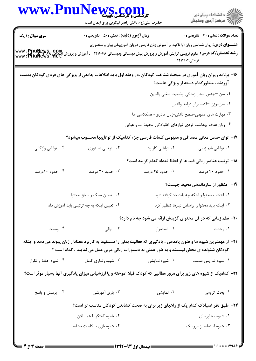| www.Pnu                            | کارشناسی و کارشناسی بابیوسته<br>حضرت علی(ع): دانش راهبر نیکویی برای ایمان است                                                                                                                                             |                                                          | ڪ دانشڪاه پيا <sub>م</sub> نور<br><mark>ر</mark> ⊽ مرڪز آزمون وسنڊش                                                |
|------------------------------------|---------------------------------------------------------------------------------------------------------------------------------------------------------------------------------------------------------------------------|----------------------------------------------------------|--------------------------------------------------------------------------------------------------------------------|
| <b>سری سوال : ۱ یک</b>             | <b>زمان آزمون (دقیقه) : تستی : 50 ٪ تشریحی : 0</b>                                                                                                                                                                        |                                                          | <b>تعداد سوالات : تستی : 30 ٪ تشریحی : 0</b>                                                                       |
| www.PnuNews.com<br>www.PnuNews.net | <b>رشته تحصیلی/کد درس:</b> علوم تربیتی گرایش آموزش و پرورش پیش دبستانی ودبستانی ۱۲۱۱۰۶۸ - ، آموزش و پرورش                                                                                                                 |                                                          | <b>عنــــوان درس:</b> روان شناسی زبان (با تاکید بر آموزش زبان فارسی )،زبان آموزی،فن بیان و سخنوری<br>تربیتی۱۲۱۱۴۰۴ |
|                                    | ۱۶– برنامه ریزان زبان آموزی در مبحث شناخت کودکان ،در وهله اول باید اطلاعات جامعی از ویژگی های فردی کودکان بدست                                                                                                            |                                                          | آوردند ، منظورکدام دسته از ویژگی هاست؟                                                                             |
|                                    |                                                                                                                                                                                                                           |                                                          | ۰۱ سن <sup>—</sup> جنس-محل زندگ <sub>ی</sub> -وضعیت شغلی والدین                                                    |
|                                    |                                                                                                                                                                                                                           |                                                          | ۰۲ سن-وزن -قد-ميزان درامد والدين                                                                                   |
|                                    |                                                                                                                                                                                                                           |                                                          | ۰۳ مهارت های عمومی-سطح دانش-زبان مادری- همکلاسی ها                                                                 |
|                                    |                                                                                                                                                                                                                           | ۰۴ زبان هدف-بهداشت فردی-نیازهای خانوادگی-محیط اب و هوایی |                                                                                                                    |
|                                    | ۱۷– توان حدس معانی مصداقی و مفهومی کلمات فارسی جزء کدامیک از تواناییها محسوب میشود؟                                                                                                                                       |                                                          |                                                                                                                    |
| ۰۴ توانایی واژگانی                 | ۰۳ توانایی دستوری                                                                                                                                                                                                         | ۰۲ توانایی کاربرد                                        | ۰۱ توانایی شم زبانی                                                                                                |
|                                    |                                                                                                                                                                                                                           |                                                          | 18– ترتيب عناصر زباني قيد ها از لحاظ تعداد كدام گزينه است؟                                                         |
| ۰۴ حدود ۱۰درصد                     | ۰۳ حدود ۲۰ درصد                                                                                                                                                                                                           | ۰۲ حدود ۲۵ درصد                                          | ۰۱ حدود ۴۰ درصد                                                                                                    |
|                                    |                                                                                                                                                                                                                           |                                                          | ۱۹ - منظور از سازماندهی محیط چیست؟                                                                                 |
|                                    | ۰۲ تعیین سبک و سیاق محتوا                                                                                                                                                                                                 |                                                          | ٠١. انتخاب محتوا و اينكه چه بايد ياد گرفته شود                                                                     |
|                                    | ۰۴ تعیین اینکه به چه ترتیبی باید آموزش داد                                                                                                                                                                                |                                                          | ۰۳ اینکه باید محتوا را براساس نیازها تنظیم کرد                                                                     |
|                                    |                                                                                                                                                                                                                           |                                                          | +۲- نظم زمانی که در آن محتوای گزینش ارائه می شود چه نام دارد؟                                                      |
| ۰۴ وسعت                            | ۰۳ توالی                                                                                                                                                                                                                  | ۰۲ استمرار                                               | ۰۱ وحدت                                                                                                            |
|                                    | <b>۳۱</b> – از مهمترین شیوه ها و فنون یاددهی ، یادگیری که فعالیت بدنی را مستقیما به کاربرد معنادار زبان پیوند می دهد و اینکه<br>کودکان شنونده ی محض نیستند و به طور عملی به دستورات زبانی مربی عمل می نمایند ، کدام است ؟ |                                                          |                                                                                                                    |
| ۰۴ شیوه حفظ و تکرار                | ۰۳ شیوه رفتاری کامل                                                                                                                                                                                                       | ۰۲ شیوه نمایشی                                           | ۰۱ شیوه تدریس صامت                                                                                                 |
|                                    | ۲۲- کدامیک از شیوه های زیر برای مرور مطالبی که کودک قبلا آموخته و یا ارزشیابی میزان یادگیری آنها بسیار موثر است؟                                                                                                          |                                                          |                                                                                                                    |
| ۰۴ پرسش و پاسخ                     | ۰۳ بازی آموزشی                                                                                                                                                                                                            | ۰۲ نمایشی                                                | ١. بحث گروهي                                                                                                       |
|                                    | ۲۳– طبق نظر اسپادک کدام یک از راههای زیر برای به صحت کشاندن کودکان مناسب تر است؟                                                                                                                                          |                                                          |                                                                                                                    |
|                                    | ۰۲ شیوه گفتگو با همسالان                                                                                                                                                                                                  |                                                          | ۰۱ شیوه محاوره ای                                                                                                  |
|                                    | ۰۴ شیوه بازی با کلمات مشابه                                                                                                                                                                                               |                                                          | ۰۳ شیوه استفاده از عروسک                                                                                           |

 $\blacksquare$